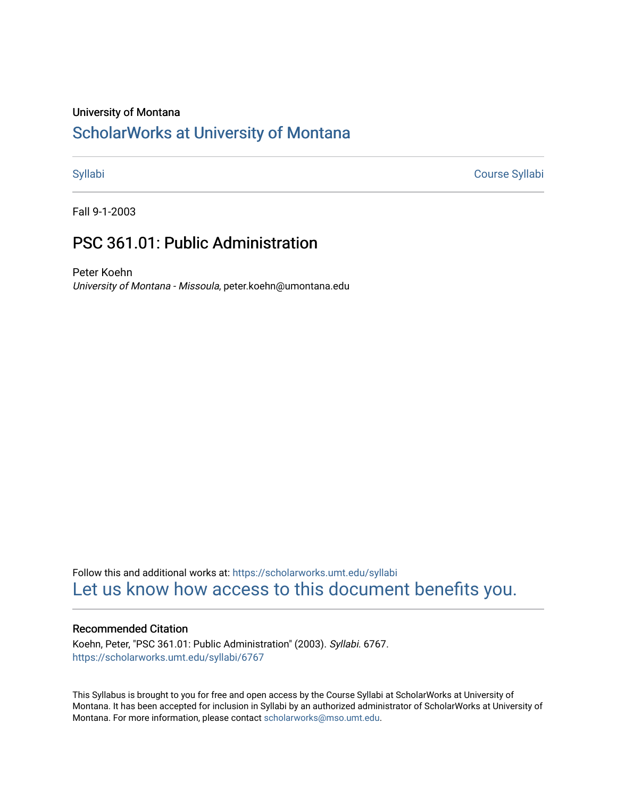#### University of Montana

# [ScholarWorks at University of Montana](https://scholarworks.umt.edu/)

[Syllabi](https://scholarworks.umt.edu/syllabi) [Course Syllabi](https://scholarworks.umt.edu/course_syllabi) 

Fall 9-1-2003

# PSC 361.01: Public Administration

Peter Koehn University of Montana - Missoula, peter.koehn@umontana.edu

Follow this and additional works at: [https://scholarworks.umt.edu/syllabi](https://scholarworks.umt.edu/syllabi?utm_source=scholarworks.umt.edu%2Fsyllabi%2F6767&utm_medium=PDF&utm_campaign=PDFCoverPages)  [Let us know how access to this document benefits you.](https://goo.gl/forms/s2rGfXOLzz71qgsB2) 

## Recommended Citation

Koehn, Peter, "PSC 361.01: Public Administration" (2003). Syllabi. 6767. [https://scholarworks.umt.edu/syllabi/6767](https://scholarworks.umt.edu/syllabi/6767?utm_source=scholarworks.umt.edu%2Fsyllabi%2F6767&utm_medium=PDF&utm_campaign=PDFCoverPages)

This Syllabus is brought to you for free and open access by the Course Syllabi at ScholarWorks at University of Montana. It has been accepted for inclusion in Syllabi by an authorized administrator of ScholarWorks at University of Montana. For more information, please contact [scholarworks@mso.umt.edu.](mailto:scholarworks@mso.umt.edu)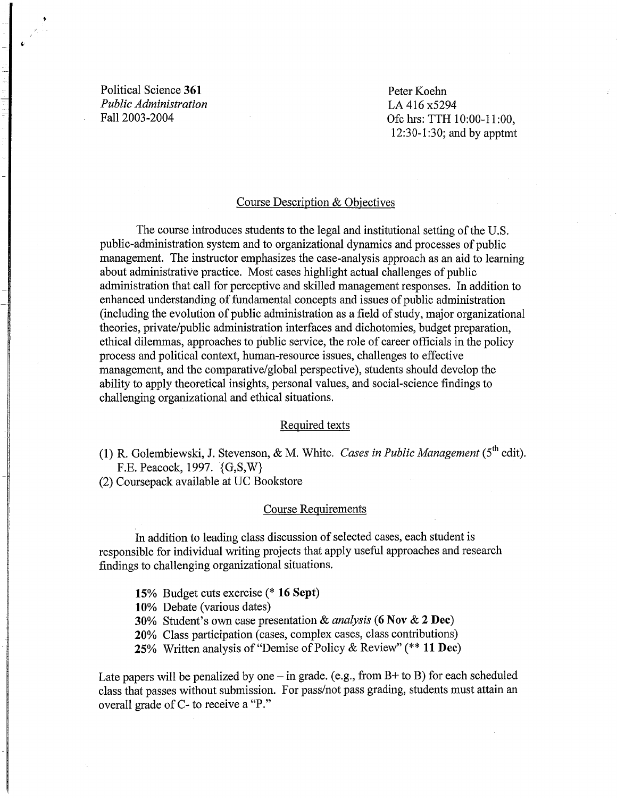Political Science **361**  *Public Administration*  Fall 2003-2004

Peter Koehn LA 416 x5294 Ofc hrs: TTH 10:00-11 :00, 12:30-1:30; and by apptmt

#### Course Description & Objectives

The course introduces students to the legal and institutional setting of the U.S. public-administration system and to organizational dynamics and processes of public management. The instructor emphasizes the case-analysis approach as an aid to learning about administrative practice. Most cases highlight actual challenges of public administration that call for perceptive and skilled management responses. In addition to enhanced understanding of fundamental concepts and issues of public administration (including the evolution of public administration as a field of study, major organizational theories, private/public administration interfaces and dichotomies, budget preparation, ethical dilemmas, approaches to public service, the role of career officials in the policy process and political context, human-resource issues, challenges to effective management, and the comparative/global perspective), students should develop the ability to apply theoretical insights, personal values, and social-science findings to challenging organizational and ethical situations.

#### Required texts

**(1)** R. Golembiewski, J. Stevenson, & M. White. *Cases in Public Management* (5th edit). F.E. Peacock, 1997. {G,S,W}

(2) Coursepack available at UC Bookstore

#### Course Requirements

In addition to leading class discussion of selected cases, each student is responsible for individual writing projects that apply useful approaches and research findings to challenging organizational situations.

**15%** Budget cuts exercise (\* **16 Sept)** 

**10%** Debate (various dates)

**30%** Student's own case presentation & *analysis* (**6 Nov & 2 Dec)** 

**20%** Class participation (cases, complex cases, class contributions)

**25%** Written analysis of "Demise of Policy & Review"(\*\* **11 Dec)** 

Late papers will be penalized by one  $-$  in grade. (e.g., from B+ to B) for each scheduled class that passes without submission. For pass/not pass grading, students must attain an overall grade of C- to receive a "P."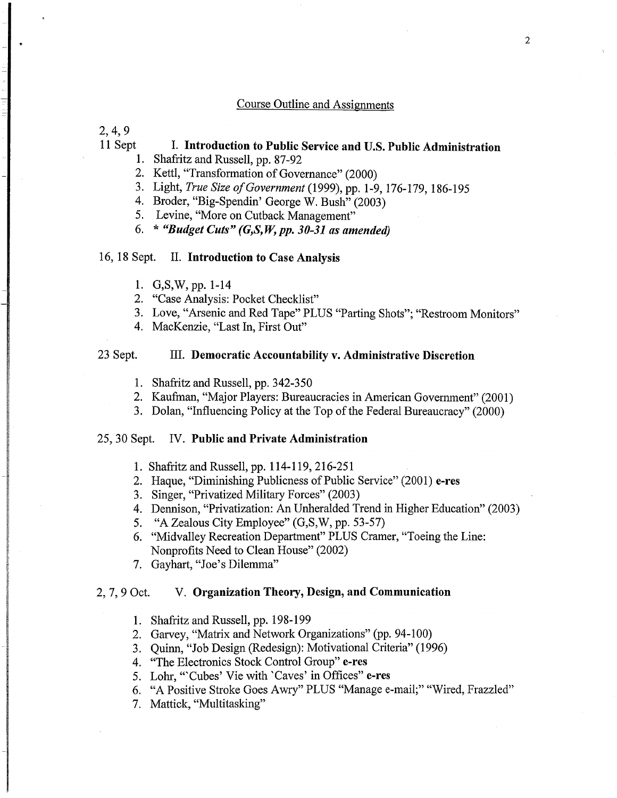# Course Outline and Assignments

2, 4, 9

# 11 Sept I. Introduction to Public Service and U.S. Public Administration

- 1. Shafritz and Russell, pp. 87-92
- 2. Kettl, "Transformation of Governance" (2000)
- 3. Light, *True Size ofGovernment* (1999), pp. 1-9, 176-179, 186-195
- 4. Broder, "Big-Spendin' George W. Bush" (2003)
- 5. Levine, "More on Cutback Management"
- 6. \* *"Budget Cuts" (G,S,* W, *pp. 30-31 as amended)*

# 16, 18 Sept. II. Introduction to Case Analysis

- 1. G, S, W, pp. 1-14
- 2. "Case Analysis: Pocket Checklist"
- 3. Love, "Arsenic and Red Tape" PLUS "Parting Shots"; "Restroom Monitors"
- 4. MacKenzie, "Last In, First Out"

### 23 Sept. III. Democratic Accountability v. Administrative Discretion

- 1. Shafritz and Russell, pp. 342-350
- 2. Kaufman, "Major Players: Bureaucracies in American Government" (2001)
- 3. Dolan, "Influencing Policy at the Top of the Federal Bureaucracy" (2000)

## 25, 30 Sept. IV. Public and Private Administration

- 1. Shafritz and Russell, pp. 114-119, 216-251
- 2. Haque, "Diminishing Publicness of Public Service" (2001) e-res
- 3. Singer, "Privatized Military Forces" (2003)
- 4. Dennison, "Privatization: An Unheralded Trend in Higher Education" (2003)
- 5. "A Zealous City Employee" (G,S,W, pp. 53-57)
- 6. "Midvalley Recreation Department" PLUS Cramer, "Toeing the Line: Nonprofits Need to Clean House" (2002)
- 7. Gayhart, "Joe's Dilemma"

#### 2, 7, 9 Oct. V. Organization Theory, Design, and Communication

- 1. Shafritz and Russell, pp. 198-199
- 2. Garvey, "Matrix and Network Organizations" (pp. 94-100)
- 3. Quinn, "Job Design (Redesign): Motivational Criteria" (1996)
- 4. "The Electronics Stock Control Group" e-res
- 5. Lohr, "Cubes' Vie with 'Caves' in Offices" e-res
- 6. "A Positive Stroke Goes Awry" PLUS "Manage e-mail;" "Wired, Frazzled"
- 7. Mattick, "Multitasking"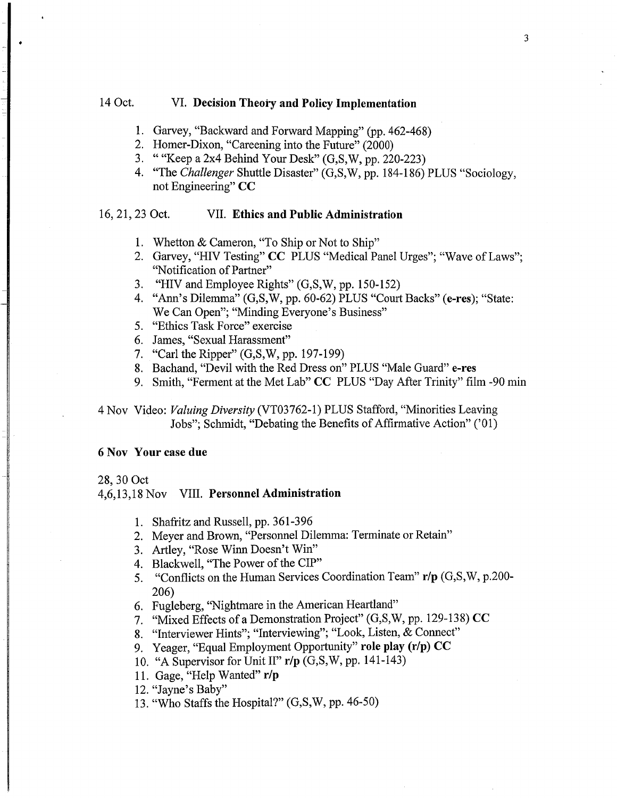# 14 Oct. VI. **Decision Theory and Policy Implementation**

- 1. Garvey, "Backward and Forward Mapping" (pp. 462-468)
- 2. Homer-Dixon, "Careening into the Future" (2000)
- 3. ""Keep a 2x4 Behind Your Desk" (G,S,W, pp. 220-223)
- 4. "The *Challenger* Shuttle Disaster" (G,S,W, pp. 184-186) PLUS "Sociology, not Engineering" CC

# 16, 21, 23 Oct. VII. **Ethics and Public Administration**

- 1. Whetton & Cameron, "To Ship or Not to Ship"
- 2. Garvey, "HIV Testing" CC PLUS "Medical Panel Urges"; "Wave of Laws"; "Notification of Partner"
- 3. "HIV and Employee Rights" (G,S,W, pp. 150-152)
- 4. "Ann's Dilemma" (G,S,W, pp. 60-62) PLUS "Court Backs" (e-res); "State: We Can Open"; "Minding Everyone's Business"
- 5. "Ethics Task Force" exercise
- 6. James, "Sexual Harassment"
- 7. "Carl the Ripper" (G,S,W, pp. 197-199)
- 8. Bachand, "Devil with the Red Dress on" PLUS "Male Guard" e-res
- 9. Smith, "Ferment at the Met Lab" CC PLUS "Day After Trinity" film -90 min

4 Nov Video: *Valuing Diversity* (VT03762-1) PLUS Stafford, "Minorities Leaving Jobs"; Schmidt, "Debating the Benefits of Affirmative Action" ('01)

#### 6 Nov **Your** case **due**

#### 28, 30 Oct

#### 4,6,13,18 Nov VIII. **Personnel Administration**

- 1. Shafritz and Russell, pp. 361-396
- 2. Meyer and Brown, "Personnel Dilemma: Terminate or Retain"
- 3. Artley, "Rose Winn Doesn't Win"
- 4. Blackwell, "The Power of the CIP"
- 5. "Conflicts on the Human Services Coordination Team" **r/p** (G,S,W, p.200 206)
- 6. Fugleberg, "Nightmare in the American Heartland"
- 7. "Mixed Effects of a Demonstration Project" (G,S,W, pp. 129-138) CC
- 8. "Interviewer Hints"; "Interviewing"; "Look, Listen,  $\&$  Connect"
- 9. Yeager, "Equal Employment Opportunity" **role play (r/p) CC**
- 10. "A Supervisor for Unit II" **r/p** (G,S,W, pp. 141-143)
- 11. Gage, "Help Wanted" **r/p**
- 12. "Jayne's Baby"
- 13. "Who Staffs the Hospital?" (G,S,W, pp. 46-50)